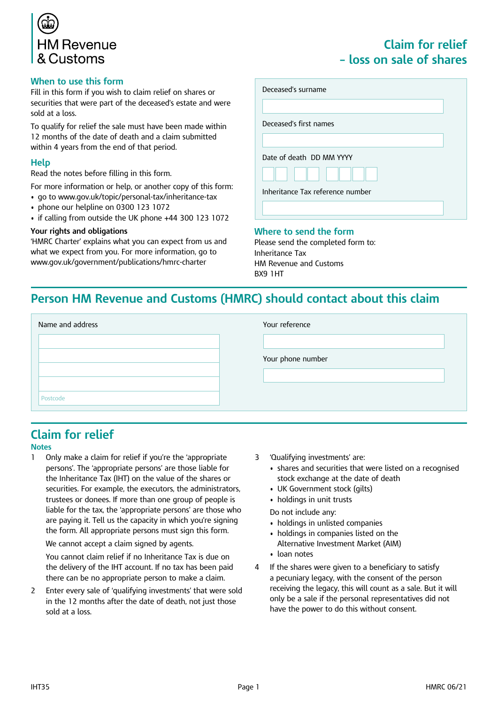

#### **When to use this form**

Fill in this form if you wish to claim relief on shares or securities that were part of the deceased's estate and were sold at a loss.

To qualify for relief the sale must have been made within 12 months of the date of death and a claim submitted within 4 years from the end of that period.

#### **Help**

Read the notes before filling in this form.

For more information or help, or another copy of this form:

- go to www.gov.uk/topic/personal-tax/inheritance-tax
- phone our helpline on 0300 123 1072
- if calling from outside the UK phone +44 300 123 1072

#### **Your rights and obligations**

'HMRC Charter' explains what you can expect from us and what we expect from you. For more information, go to www.gov.uk/government/publications/hmrc-charter

### **Claim for relief – loss on sale of shares**

| Deceased's surname               |  |
|----------------------------------|--|
|                                  |  |
| Deceased's first names           |  |
|                                  |  |
| Date of death DD MM YYYY         |  |
|                                  |  |
| Inheritance Tax reference number |  |
|                                  |  |

#### **Where to send the form**

Please send the completed form to: Inheritance Tax HM Revenue and Customs BX9 1HT

### **Person HM Revenue and Customs (HMRC) should contact about this claim**

| Name and address | Your reference    |
|------------------|-------------------|
|                  |                   |
|                  | Your phone number |
|                  |                   |
|                  |                   |
| Postcode         |                   |

# **Claim for relief**

#### **Notes**

1 Only make a claim for relief if you're the 'appropriate persons'. The 'appropriate persons' are those liable for the Inheritance Tax (IHT) on the value of the shares or securities. For example, the executors, the administrators, trustees or donees. If more than one group of people is liable for the tax, the 'appropriate persons' are those who are paying it. Tell us the capacity in which you're signing the form. All appropriate persons must sign this form.

We cannot accept a claim signed by agents.

You cannot claim relief if no Inheritance Tax is due on the delivery of the IHT account. If no tax has been paid there can be no appropriate person to make a claim.

2 Enter every sale of 'qualifying investments' that were sold in the 12 months after the date of death, not just those sold at a loss.

- 3 'Qualifying investments' are:
	- shares and securities that were listed on a recognised stock exchange at the date of death
	- UK Government stock (gilts)
	- holdings in unit trusts

Do not include any:

- holdings in unlisted companies
- holdings in companies listed on the Alternative Investment Market (AIM)
- • loan notes
- 4 If the shares were given to a beneficiary to satisfy a pecuniary legacy, with the consent of the person receiving the legacy, this will count as a sale. But it will only be a sale if the personal representatives did not have the power to do this without consent.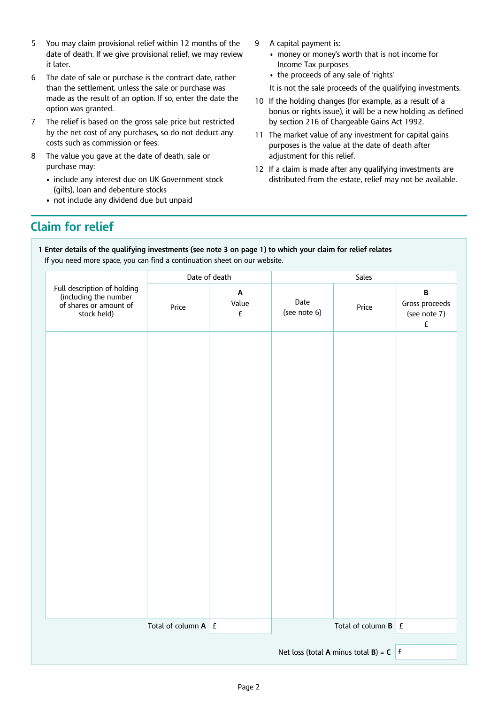- 5 You may claim provisional relief within 12 months of the date of death. If we give provisional relief, we may review it later.
- 6 The date of sale or purchase is the contract date, rather than the settlement, unless the sale or purchase was made as the result of an option. If so, enter the date the option was granted.
- 7 The relief is based on the gross sale price but restricted by the net cost of any purchases, so do not deduct any costs such as commission or fees.
- 8 The value you gave at the date of death, sale or purchase may:
	- include any interest due on UK Government stock (gilts), loan and debenture stocks
	- not include any dividend due but unpaid
- 9 A capital payment is:
	- money or money's worth that is not income for Income Tax purposes
	- the proceeds of any sale of 'rights'
	- It is not the sale proceeds of the qualifying investments.
- 10 If the holding changes (for example, as a result of a bonus or rights issue), it will be a new holding as defined by section 216 of Chargeable Gains Act 1992.
- 11 The market value of any investment for capital gains purposes is the value at the date of death after adjustment for this relief.
- 12 If a claim is made after any qualifying investments are distributed from the estate, relief may not be available.

## **Claim for relief**

**1 Enter details of the qualifying investments (see note 3 on page 1) to which your claim for relief relates** If you need more space, you can find a continuation sheet on our website.

|                                                                                               | Date of death              |                                                          |                      | Sales                                                                                |                                                                                |
|-----------------------------------------------------------------------------------------------|----------------------------|----------------------------------------------------------|----------------------|--------------------------------------------------------------------------------------|--------------------------------------------------------------------------------|
| Full description of holding<br>(including the number<br>of shares or amount of<br>stock held) | Price                      | $\boldsymbol{\mathsf{A}}$<br>Value<br>$\pmb{\mathsf{f}}$ | Date<br>(see note 6) | Price                                                                                | $\, {\bf B} \,$<br>Gross proceeds<br>(see note 7)<br>$\ensuremath{\mathsf{E}}$ |
|                                                                                               |                            |                                                          |                      |                                                                                      |                                                                                |
|                                                                                               |                            |                                                          |                      |                                                                                      |                                                                                |
|                                                                                               |                            |                                                          |                      |                                                                                      |                                                                                |
|                                                                                               |                            |                                                          |                      |                                                                                      |                                                                                |
|                                                                                               |                            |                                                          |                      |                                                                                      |                                                                                |
|                                                                                               |                            |                                                          |                      |                                                                                      |                                                                                |
|                                                                                               |                            |                                                          |                      |                                                                                      |                                                                                |
|                                                                                               |                            |                                                          |                      |                                                                                      |                                                                                |
|                                                                                               |                            |                                                          |                      |                                                                                      |                                                                                |
|                                                                                               |                            |                                                          |                      |                                                                                      |                                                                                |
|                                                                                               |                            |                                                          |                      |                                                                                      |                                                                                |
|                                                                                               | Total of column $A \mid E$ |                                                          |                      | Total of column $\mathbf{B}$ $\mathbf{E}$                                            |                                                                                |
|                                                                                               |                            |                                                          |                      | Net loss (total <b>A</b> minus total <b>B</b> ) = <b>C</b> $\left  \right $ <b>E</b> |                                                                                |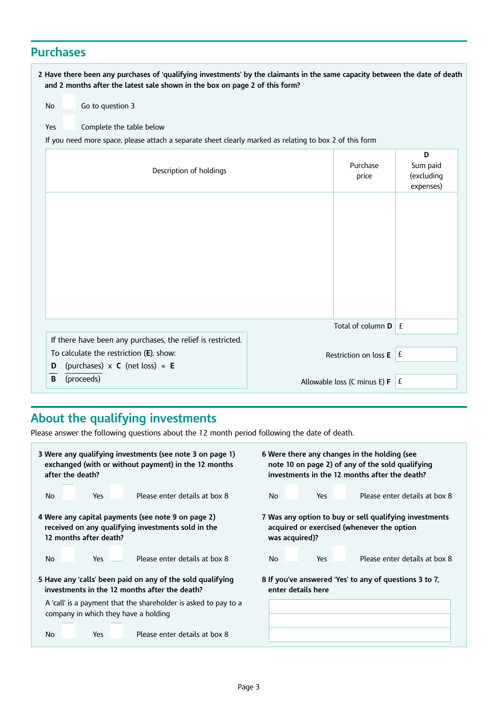## **Purchases**

| 2 Have there been any purchases of 'qualifying investments' by the claimants in the same capacity between the date of death<br>and 2 months after the latest sale shown in the box on page 2 of this form? |                                                   |                                          |
|------------------------------------------------------------------------------------------------------------------------------------------------------------------------------------------------------------|---------------------------------------------------|------------------------------------------|
| Go to question 3<br><b>No</b>                                                                                                                                                                              |                                                   |                                          |
| Complete the table below<br>Yes                                                                                                                                                                            |                                                   |                                          |
| If you need more space, please attach a separate sheet clearly marked as relating to box 2 of this form                                                                                                    |                                                   |                                          |
| Description of holdings                                                                                                                                                                                    | Purchase<br>price                                 | D<br>Sum paid<br>(excluding<br>expenses) |
|                                                                                                                                                                                                            |                                                   |                                          |
|                                                                                                                                                                                                            | Total of column $\mathbf{D} \parallel \mathbf{f}$ |                                          |
| If there have been any purchases, the relief is restricted.<br>To calculate the restriction (E), show:                                                                                                     | Restriction on loss E                             | E                                        |
| (purchases) $\times$ <b>C</b> (net loss) = <b>E</b><br>D<br>(proceeds)<br>B                                                                                                                                | Allowable loss (C minus E) F                      | £                                        |

# **About the qualifying investments**

Please answer the following questions about the 12 month period following the date of death.

| 3 Were any qualifying investments (see note 3 on page 1)                                                | 6 Were there any changes in the holding (see           |
|---------------------------------------------------------------------------------------------------------|--------------------------------------------------------|
| exchanged (with or without payment) in the 12 months                                                    | note 10 on page 2) of any of the sold qualifying       |
| after the death?                                                                                        | investments in the 12 months after the death?          |
| Please enter details at box 8                                                                           | Please enter details at box 8                          |
| Yes                                                                                                     | <b>No</b>                                              |
| No.                                                                                                     | Yes                                                    |
| 4 Were any capital payments (see note 9 on page 2)                                                      | 7 Was any option to buy or sell qualifying investments |
| received on any qualifying investments sold in the                                                      | acquired or exercised (whenever the option             |
| 12 months after death?                                                                                  | was acquired)?                                         |
| Please enter details at box 8                                                                           | Please enter details at box 8                          |
| No.                                                                                                     | No.                                                    |
| Yes                                                                                                     | Yes                                                    |
| 5 Have any 'calls' been paid on any of the sold qualifying                                              | 8 If you've answered 'Yes' to any of questions 3 to 7, |
| investments in the 12 months after the death?                                                           | enter details here                                     |
| A 'call' is a payment that the shareholder is asked to pay to a<br>company in which they have a holding |                                                        |
| Please enter details at box 8<br><b>No</b><br>Yes                                                       |                                                        |